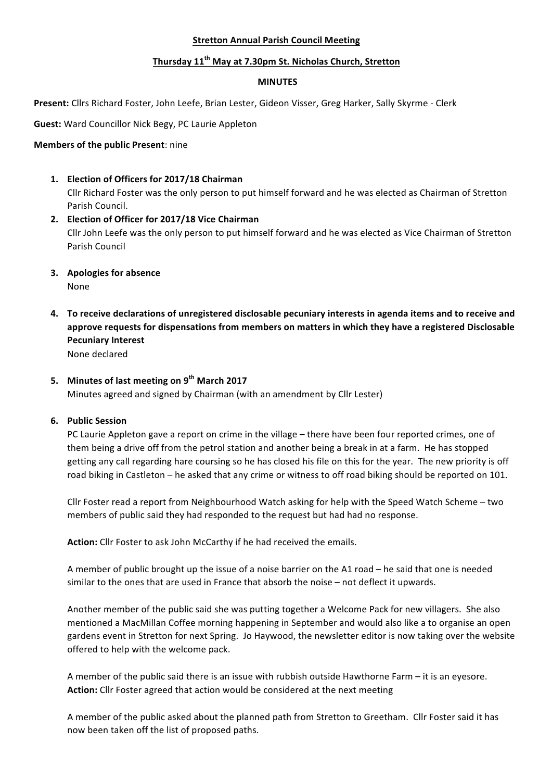#### **Stretton Annual Parish Council Meeting**

## **Thursday 11th May at 7.30pm St. Nicholas Church, Stretton**

#### **MINUTES**

Present: Cllrs Richard Foster, John Leefe, Brian Lester, Gideon Visser, Greg Harker, Sally Skyrme - Clerk

**Guest:** Ward Councillor Nick Begy, PC Laurie Appleton

### **Members of the public Present:** nine

**1. Election of Officers for 2017/18 Chairman**

Cllr Richard Foster was the only person to put himself forward and he was elected as Chairman of Stretton Parish Council.

- **2. Election of Officer for 2017/18 Vice Chairman** Cllr John Leefe was the only person to put himself forward and he was elected as Vice Chairman of Stretton Parish Council
- **3.** Apologies for absence None
- **4.** To receive declarations of unregistered disclosable pecuniary interests in agenda items and to receive and approve requests for dispensations from members on matters in which they have a registered Disclosable **Pecuniary Interest**

None declared

# 5. Minutes of last meeting on  $9^{th}$  March 2017

Minutes agreed and signed by Chairman (with an amendment by Cllr Lester)

### **6. Public Session**

PC Laurie Appleton gave a report on crime in the village – there have been four reported crimes, one of them being a drive off from the petrol station and another being a break in at a farm. He has stopped getting any call regarding hare coursing so he has closed his file on this for the year. The new priority is off road biking in Castleton – he asked that any crime or witness to off road biking should be reported on 101.

Cllr Foster read a report from Neighbourhood Watch asking for help with the Speed Watch Scheme – two members of public said they had responded to the request but had had no response.

Action: Cllr Foster to ask John McCarthy if he had received the emails.

A member of public brought up the issue of a noise barrier on the A1 road – he said that one is needed similar to the ones that are used in France that absorb the noise – not deflect it upwards.

Another member of the public said she was putting together a Welcome Pack for new villagers. She also mentioned a MacMillan Coffee morning happening in September and would also like a to organise an open gardens event in Stretton for next Spring. Jo Haywood, the newsletter editor is now taking over the website offered to help with the welcome pack.

A member of the public said there is an issue with rubbish outside Hawthorne Farm  $-$  it is an eyesore. **Action:** Cllr Foster agreed that action would be considered at the next meeting

A member of the public asked about the planned path from Stretton to Greetham. Cllr Foster said it has now been taken off the list of proposed paths.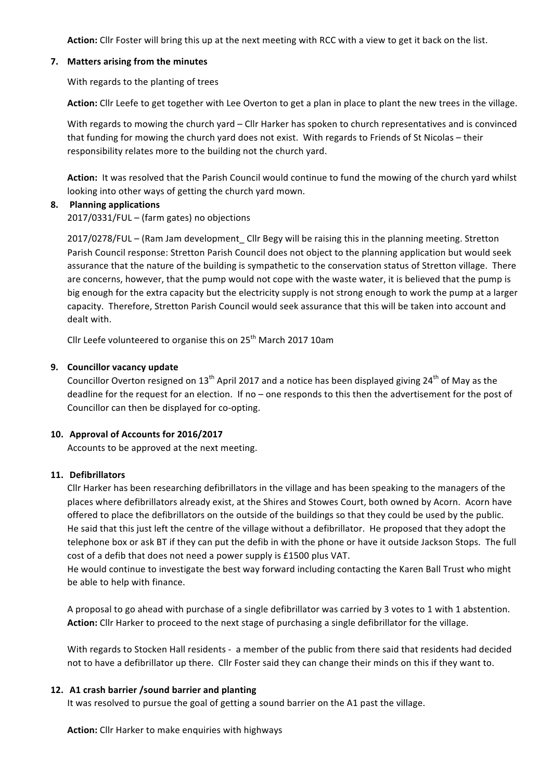Action: Cllr Foster will bring this up at the next meeting with RCC with a view to get it back on the list.

#### **7. Matters arising from the minutes**

With regards to the planting of trees

Action: Cllr Leefe to get together with Lee Overton to get a plan in place to plant the new trees in the village.

With regards to mowing the church yard  $-$  Cllr Harker has spoken to church representatives and is convinced that funding for mowing the church yard does not exist. With regards to Friends of St Nicolas – their responsibility relates more to the building not the church yard.

Action: It was resolved that the Parish Council would continue to fund the mowing of the church yard whilst looking into other ways of getting the church yard mown.

### **8. Planning applications**

 $2017/0331/FUL - (farm gates)$  no objections

2017/0278/FUL – (Ram Jam development Cllr Begy will be raising this in the planning meeting. Stretton Parish Council response: Stretton Parish Council does not object to the planning application but would seek assurance that the nature of the building is sympathetic to the conservation status of Stretton village. There are concerns, however, that the pump would not cope with the waste water, it is believed that the pump is big enough for the extra capacity but the electricity supply is not strong enough to work the pump at a larger capacity. Therefore, Stretton Parish Council would seek assurance that this will be taken into account and dealt with.

Cllr Leefe volunteered to organise this on  $25<sup>th</sup>$  March 2017 10am

### **9.** Councillor vacancy update

Councillor Overton resigned on  $13<sup>th</sup>$  April 2017 and a notice has been displayed giving 24<sup>th</sup> of May as the deadline for the request for an election. If no – one responds to this then the advertisement for the post of Councillor can then be displayed for co-opting.

### 10. Approval of Accounts for 2016/2017

Accounts to be approved at the next meeting.

### **11. Defibrillators**

Cllr Harker has been researching defibrillators in the village and has been speaking to the managers of the places where defibrillators already exist, at the Shires and Stowes Court, both owned by Acorn. Acorn have offered to place the defibrillators on the outside of the buildings so that they could be used by the public. He said that this just left the centre of the village without a defibrillator. He proposed that they adopt the telephone box or ask BT if they can put the defib in with the phone or have it outside Jackson Stops. The full cost of a defib that does not need a power supply is £1500 plus VAT.

He would continue to investigate the best way forward including contacting the Karen Ball Trust who might be able to help with finance.

A proposal to go ahead with purchase of a single defibrillator was carried by 3 votes to 1 with 1 abstention. Action: Cllr Harker to proceed to the next stage of purchasing a single defibrillator for the village.

With regards to Stocken Hall residents - a member of the public from there said that residents had decided not to have a defibrillator up there. Cllr Foster said they can change their minds on this if they want to.

### **12. A1 crash barrier /sound barrier and planting**

It was resolved to pursue the goal of getting a sound barrier on the A1 past the village.

**Action:** Cllr Harker to make enquiries with highways